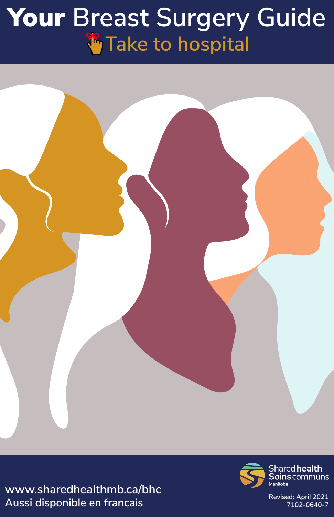# Your **Breast Surgery Guide Take to hospital**



**www.sharedhealthmb.ca/bhc Revised: April 2021 Aussi disponible en français 7102-0640-7**

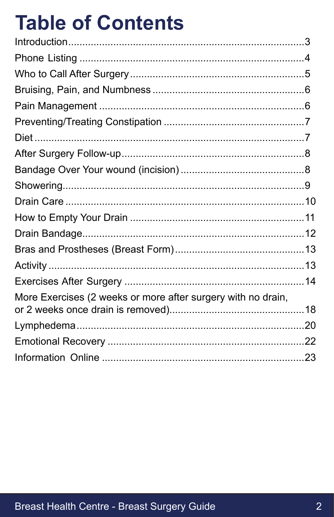# **Table of Contents**

| More Exercises (2 weeks or more after surgery with no drain, |  |
|--------------------------------------------------------------|--|
|                                                              |  |
|                                                              |  |
|                                                              |  |
|                                                              |  |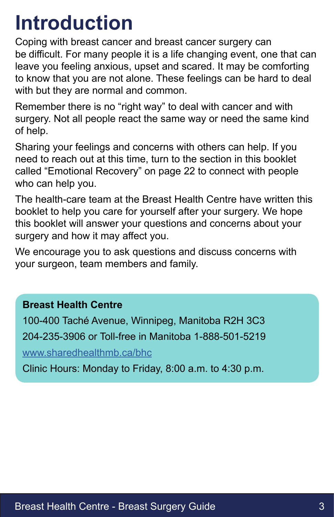### **Introduction**

Coping with breast cancer and breast cancer surgery can be difficult. For many people it is a life changing event, one that can leave you feeling anxious, upset and scared. It may be comforting to know that you are not alone. These feelings can be hard to deal with but they are normal and common.

Remember there is no "right way" to deal with cancer and with surgery. Not all people react the same way or need the same kind of help.

Sharing your feelings and concerns with others can help. If you need to reach out at this time, turn to the section in this booklet called "Emotional Recovery" on page 22 to connect with people who can help you.

The health-care team at the Breast Health Centre have written this booklet to help you care for yourself after your surgery. We hope this booklet will answer your questions and concerns about your surgery and how it may affect you.

We encourage you to ask questions and discuss concerns with your surgeon, team members and family.

#### **Breast Health Centre**

100-400 Taché Avenue, Winnipeg, Manitoba R2H 3C3 204-235-3906 or Toll-free in Manitoba 1-888-501-5219

[www.sharedhealthmb.ca/bhc](https://www.sharedhealthmb.ca/bhc )

Clinic Hours: Monday to Friday, 8:00 a.m. to 4:30 p.m.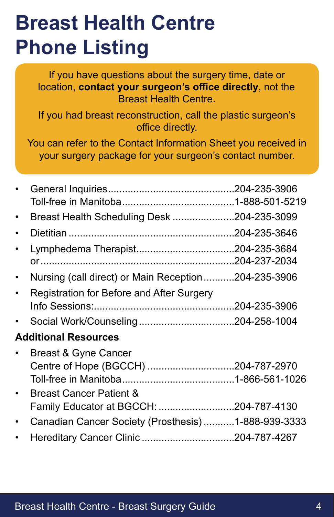### **Breast Health Centre Phone Listing**

If you have questions about the surgery time, date or location, **contact your surgeon's office directly**, not the Breast Health Centre.

If you had breast reconstruction, call the plastic surgeon's office directly.

You can refer to the Contact Information Sheet you received in your surgery package for your surgeon's contact number.

|                                                     | .204-235-3906 |
|-----------------------------------------------------|---------------|
|                                                     |               |
| Breast Health Scheduling Desk 204-235-3099          |               |
|                                                     |               |
|                                                     | 204-237-2034  |
| Nursing (call direct) or Main Reception204-235-3906 |               |
| Registration for Before and After Surgery           |               |
|                                                     |               |
|                                                     |               |
| <b>Additional Resources</b>                         |               |
| <b>Breast &amp; Gyne Cancer</b>                     |               |
| Centre of Hope (BGCCH) 204-787-2970                 |               |
|                                                     |               |
| <b>Breast Cancer Patient &amp;</b>                  |               |
| Family Educator at BGCCH: 204-787-4130              |               |
| Canadian Cancer Society (Prosthesis)1-888-939-3333  |               |
|                                                     |               |
|                                                     |               |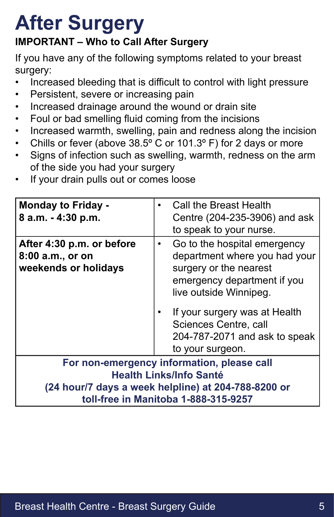#### **IMPORTANT – Who to Call After Surgery**

If you have any of the following symptoms related to your breast surgery:

- Increased bleeding that is difficult to control with light pressure
- Persistent, severe or increasing pain
- Increased drainage around the wound or drain site
- Foul or bad smelling fluid coming from the incisions
- Increased warmth, swelling, pain and redness along the incision
- Chills or fever (above  $38.5^{\circ}$  C or 101.3° F) for 2 days or more
- Signs of infection such as swelling, warmth, redness on the arm of the side you had your surgery
- If your drain pulls out or comes loose

| <b>Monday to Friday -</b><br>8 a.m. - 4:30 p.m.                                             |  | Call the Breast Health<br>Centre (204-235-3906) and ask<br>to speak to your nurse.                                                                                                                                                                              |  |  |  |
|---------------------------------------------------------------------------------------------|--|-----------------------------------------------------------------------------------------------------------------------------------------------------------------------------------------------------------------------------------------------------------------|--|--|--|
| After 4:30 p.m. or before<br>8:00 a.m., or on<br>weekends or holidays                       |  | Go to the hospital emergency<br>department where you had your<br>surgery or the nearest<br>emergency department if you<br>live outside Winnipeg.<br>If your surgery was at Health<br>Sciences Centre, call<br>204-787-2071 and ask to speak<br>to your surgeon. |  |  |  |
| For non-emergency information, please call                                                  |  |                                                                                                                                                                                                                                                                 |  |  |  |
| <b>Health Links/Info Santé</b>                                                              |  |                                                                                                                                                                                                                                                                 |  |  |  |
| (24 hour/7 days a week helpline) at 204-788-8200 or<br>toll-free in Manitoba 1-888-315-9257 |  |                                                                                                                                                                                                                                                                 |  |  |  |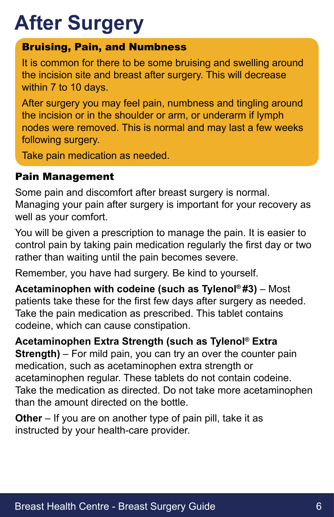#### Bruising, Pain, and Numbness

It is common for there to be some bruising and swelling around the incision site and breast after surgery. This will decrease within 7 to 10 days.

After surgery you may feel pain, numbness and tingling around the incision or in the shoulder or arm, or underarm if lymph nodes were removed. This is normal and may last a few weeks following surgery.

Take pain medication as needed.

#### Pain Management

Some pain and discomfort after breast surgery is normal. Managing your pain after surgery is important for your recovery as well as your comfort.

You will be given a prescription to manage the pain. It is easier to control pain by taking pain medication regularly the first day or two rather than waiting until the pain becomes severe.

Remember, you have had surgery. Be kind to yourself.

**Acetaminophen with codeine (such as Tylenol® #3)** – Most patients take these for the first few days after surgery as needed. Take the pain medication as prescribed. This tablet contains codeine, which can cause constipation.

**Acetaminophen Extra Strength (such as Tylenol® Extra Strength)** – For mild pain, you can try an over the counter pain medication, such as acetaminophen extra strength or acetaminophen regular. These tablets do not contain codeine. Take the medication as directed. Do not take more acetaminophen than the amount directed on the bottle.

**Other** – If you are on another type of pain pill, take it as instructed by your health-care provider.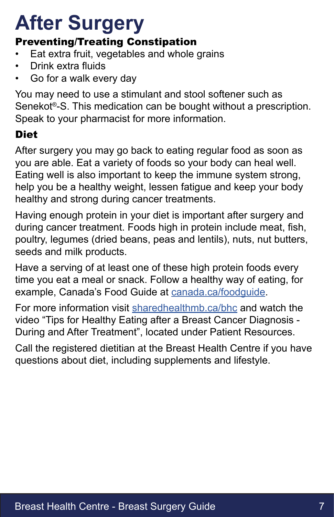#### Preventing/Treating Constipation

- Eat extra fruit, vegetables and whole grains
- Drink extra fluids
- Go for a walk every day

You may need to use a stimulant and stool softener such as Senekot®-S. This medication can be bought without a prescription. Speak to your pharmacist for more information.

#### Diet

After surgery you may go back to eating regular food as soon as you are able. Eat a variety of foods so your body can heal well. Eating well is also important to keep the immune system strong, help you be a healthy weight, lessen fatigue and keep your body healthy and strong during cancer treatments.

Having enough protein in your diet is important after surgery and during cancer treatment. Foods high in protein include meat, fish, poultry, legumes (dried beans, peas and lentils), nuts, nut butters, seeds and milk products.

Have a serving of at least one of these high protein foods every time you eat a meal or snack. Follow a healthy way of eating, for example, Canada's Food Guide at canada.ca/foodquide.

For more information visit [sharedhealthmb.ca/bhc](https://sharedhealthmb.ca/bhc) and watch the video "Tips for Healthy Eating after a Breast Cancer Diagnosis - During and After Treatment", located under Patient Resources.

Call the registered dietitian at the Breast Health Centre if you have questions about diet, including supplements and lifestyle.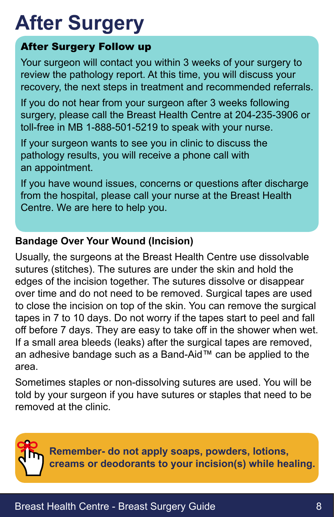#### After Surgery Follow up

Your surgeon will contact you within 3 weeks of your surgery to review the pathology report. At this time, you will discuss your recovery, the next steps in treatment and recommended referrals.

If you do not hear from your surgeon after 3 weeks following surgery, please call the Breast Health Centre at 204-235-3906 or toll-free in MB 1-888-501-5219 to speak with your nurse.

If your surgeon wants to see you in clinic to discuss the pathology results, you will receive a phone call with an appointment.

If you have wound issues, concerns or questions after discharge from the hospital, please call your nurse at the Breast Health Centre. We are here to help you.

#### **Bandage Over Your Wound (Incision)**

Usually, the surgeons at the Breast Health Centre use dissolvable sutures (stitches). The sutures are under the skin and hold the edges of the incision together. The sutures dissolve or disappear over time and do not need to be removed. Surgical tapes are used to close the incision on top of the skin. You can remove the surgical tapes in 7 to 10 days. Do not worry if the tapes start to peel and fall off before 7 days. They are easy to take off in the shower when wet. If a small area bleeds (leaks) after the surgical tapes are removed, an adhesive bandage such as a Band-Aid™ can be applied to the area.

Sometimes staples or non-dissolving sutures are used. You will be told by your surgeon if you have sutures or staples that need to be removed at the clinic.



**Remember- do not apply soaps, powders, lotions, creams or deodorants to your incision(s) while healing.**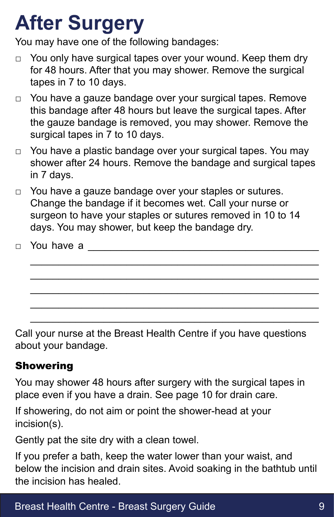You may have one of the following bandages:

- □ You only have surgical tapes over your wound. Keep them dry for 48 hours. After that you may shower. Remove the surgical tapes in 7 to 10 days.
- □ You have a gauze bandage over your surgical tapes. Remove this bandage after 48 hours but leave the surgical tapes. After the gauze bandage is removed, you may shower. Remove the surgical tapes in 7 to 10 days.
- □ You have a plastic bandage over your surgical tapes. You may shower after 24 hours. Remove the bandage and surgical tapes in 7 days.
- □ You have a gauze bandage over your staples or sutures. Change the bandage if it becomes wet. Call your nurse or surgeon to have your staples or sutures removed in 10 to 14 days. You may shower, but keep the bandage dry.

\_\_\_\_\_\_\_\_\_\_\_\_\_\_\_\_\_\_\_\_\_\_\_\_\_\_\_\_\_\_\_\_\_\_\_\_\_\_\_\_\_\_\_\_\_\_\_\_\_\_\_ \_\_\_\_\_\_\_\_\_\_\_\_\_\_\_\_\_\_\_\_\_\_\_\_\_\_\_\_\_\_\_\_\_\_\_\_\_\_\_\_\_\_\_\_\_\_\_\_\_\_\_ \_\_\_\_\_\_\_\_\_\_\_\_\_\_\_\_\_\_\_\_\_\_\_\_\_\_\_\_\_\_\_\_\_\_\_\_\_\_\_\_\_\_\_\_\_\_\_\_\_\_\_ \_\_\_\_\_\_\_\_\_\_\_\_\_\_\_\_\_\_\_\_\_\_\_\_\_\_\_\_\_\_\_\_\_\_\_\_\_\_\_\_\_\_\_\_\_\_\_\_\_\_\_ \_\_\_\_\_\_\_\_\_\_\_\_\_\_\_\_\_\_\_\_\_\_\_\_\_\_\_\_\_\_\_\_\_\_\_\_\_\_\_\_\_\_\_\_\_\_\_\_\_\_\_

 $\Box$  You have a

Call your nurse at the Breast Health Centre if you have questions about your bandage.

#### Showering

You may shower 48 hours after surgery with the surgical tapes in place even if you have a drain. See page 10 for drain care.

If showering, do not aim or point the shower-head at your incision(s).

Gently pat the site dry with a clean towel.

If you prefer a bath, keep the water lower than your waist, and below the incision and drain sites. Avoid soaking in the bathtub until the incision has healed.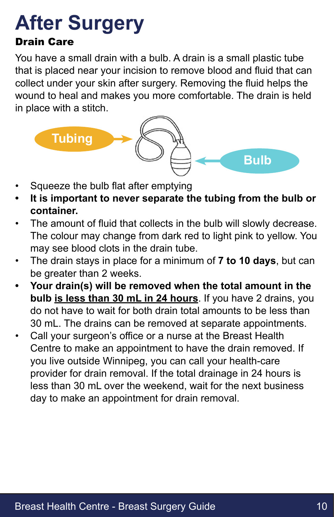#### Drain Care

You have a small drain with a bulb. A drain is a small plastic tube that is placed near your incision to remove blood and fluid that can collect under your skin after surgery. Removing the fluid helps the wound to heal and makes you more comfortable. The drain is held in place with a stitch.



- Squeeze the bulb flat after emptying
- **• It is important to never separate the tubing from the bulb or container.**
- The amount of fluid that collects in the bulb will slowly decrease. The colour may change from dark red to light pink to yellow. You may see blood clots in the drain tube.
- The drain stays in place for a minimum of **7 to 10 days**, but can be greater than 2 weeks.
- **• Your drain(s) will be removed when the total amount in the bulb is less than 30 mL in 24 hours**. If you have 2 drains, you do not have to wait for both drain total amounts to be less than 30 mL. The drains can be removed at separate appointments.
- Call your surgeon's office or a nurse at the Breast Health Centre to make an appointment to have the drain removed. If you live outside Winnipeg, you can call your health-care provider for drain removal. If the total drainage in 24 hours is less than 30 mL over the weekend, wait for the next business day to make an appointment for drain removal.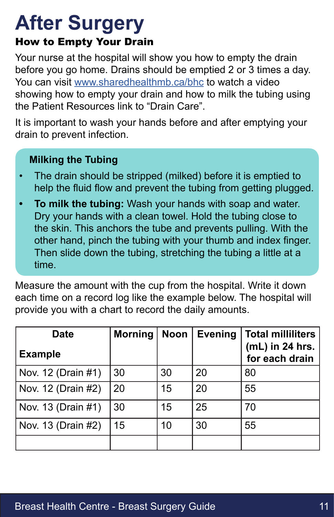#### How to Empty Your Drain

Your nurse at the hospital will show you how to empty the drain before you go home. Drains should be emptied 2 or 3 times a day. You can visit [www.sharedhealthmb.ca/bhc](https://www.sharedhealthmb.ca/bhc) to watch a video showing how to empty your drain and how to milk the tubing using the Patient Resources link to "Drain Care".

It is important to wash your hands before and after emptying your drain to prevent infection.

#### **Milking the Tubing**

- The drain should be stripped (milked) before it is emptied to help the fluid flow and prevent the tubing from getting plugged.
- **• To milk the tubing:** Wash your hands with soap and water. Dry your hands with a clean towel. Hold the tubing close to the skin. This anchors the tube and prevents pulling. With the other hand, pinch the tubing with your thumb and index finger. Then slide down the tubing, stretching the tubing a little at a time.

Measure the amount with the cup from the hospital. Write it down each time on a record log like the example below. The hospital will provide you with a chart to record the daily amounts.

| <b>Date</b><br><b>Example</b> | <b>Morning</b> | <b>Noon</b> | <b>Evening</b> | <b>Total milliliters</b><br>$(mL)$ in 24 hrs.<br>for each drain |
|-------------------------------|----------------|-------------|----------------|-----------------------------------------------------------------|
| Nov. 12 (Drain #1)            | 30             | 30          | 20             | 80                                                              |
| Nov. 12 (Drain #2)            | 20             | 15          | 20             | 55                                                              |
| Nov. 13 (Drain #1)            | 30             | 15          | 25             | 70                                                              |
| Nov. 13 (Drain #2)            | 15             | 10          | 30             | 55                                                              |
|                               |                |             |                |                                                                 |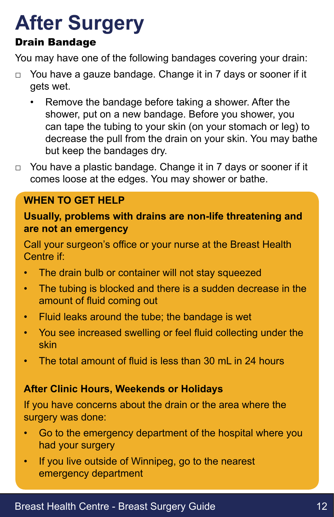#### Drain Bandage

You may have one of the following bandages covering your drain:

- □ You have a gauze bandage. Change it in 7 days or sooner if it gets wet.
	- Remove the bandage before taking a shower. After the shower, put on a new bandage. Before you shower, you can tape the tubing to your skin (on your stomach or leg) to decrease the pull from the drain on your skin. You may bathe but keep the bandages dry.
- □ You have a plastic bandage. Change it in 7 days or sooner if it comes loose at the edges. You may shower or bathe.

#### **WHEN TO GET HELP**

**Usually, problems with drains are non-life threatening and are not an emergency**

Call your surgeon's office or your nurse at the Breast Health Centre if:

- The drain bulb or container will not stay squeezed
- The tubing is blocked and there is a sudden decrease in the amount of fluid coming out
- Fluid leaks around the tube; the bandage is wet
- You see increased swelling or feel fluid collecting under the skin
- The total amount of fluid is less than 30 mL in 24 hours

#### **After Clinic Hours, Weekends or Holidays**

If you have concerns about the drain or the area where the surgery was done:

- Go to the emergency department of the hospital where you had your surgery
- If you live outside of Winnipeg, go to the nearest emergency department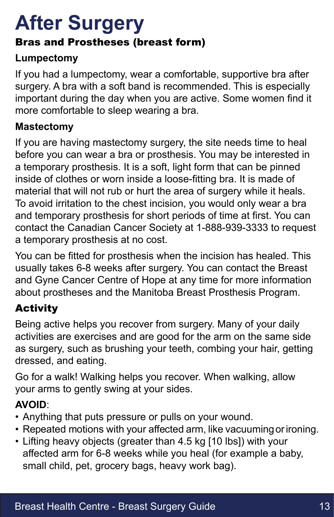#### Bras and Prostheses (breast form)

#### **Lumpectomy**

If you had a lumpectomy, wear a comfortable, supportive bra after surgery. A bra with a soft band is recommended. This is especially important during the day when you are active. Some women find it more comfortable to sleep wearing a bra.

#### **Mastectomy**

If you are having mastectomy surgery, the site needs time to heal before you can wear a bra or prosthesis. You may be interested in a temporary prosthesis. It is a soft, light form that can be pinned inside of clothes or worn inside a loose-fitting bra. It is made of material that will not rub or hurt the area of surgery while it heals. To avoid irritation to the chest incision, you would only wear a bra and temporary prosthesis for short periods of time at first. You can contact the Canadian Cancer Society at 1-888-939-3333 to request a temporary prosthesis at no cost.

You can be fitted for prosthesis when the incision has healed. This usually takes 6-8 weeks after surgery. You can contact the Breast and Gyne Cancer Centre of Hope at any time for more information about prostheses and the Manitoba Breast Prosthesis Program.

#### Activity

Being active helps you recover from surgery. Many of your daily activities are exercises and are good for the arm on the same side as surgery, such as brushing your teeth, combing your hair, getting dressed, and eating.

Go for a walk! Walking helps you recover. When walking, allow your arms to gently swing at your sides.

#### **AVOID**:

- Anything that puts pressure or pulls on your wound.
- Repeated motions with your affected arm, like vacuuming or ironing.
- Lifting heavy objects (greater than 4.5 kg [10 lbs]) with your affected arm for 6-8 weeks while you heal (for example a baby, small child, pet, grocery bags, heavy work bag).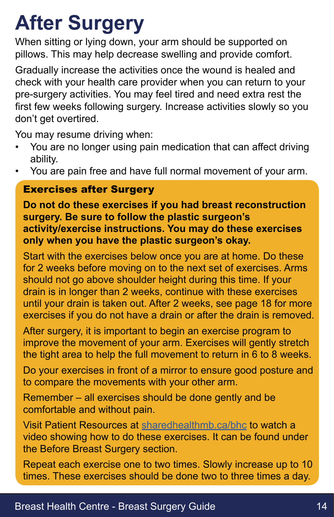When sitting or lying down, your arm should be supported on pillows. This may help decrease swelling and provide comfort.

Gradually increase the activities once the wound is healed and check with your health care provider when you can return to your pre-surgery activities. You may feel tired and need extra rest the first few weeks following surgery. Increase activities slowly so you don't get overtired.

You may resume driving when:

- You are no longer using pain medication that can affect driving ability.
- You are pain free and have full normal movement of your arm.

#### Exercises after Surgery

**Do not do these exercises if you had breast reconstruction surgery. Be sure to follow the plastic surgeon's activity/exercise instructions. You may do these exercises only when you have the plastic surgeon's okay.**

Start with the exercises below once you are at home. Do these for 2 weeks before moving on to the next set of exercises. Arms should not go above shoulder height during this time. If your drain is in longer than 2 weeks, continue with these exercises until your drain is taken out. After 2 weeks, see page 18 for more exercises if you do not have a drain or after the drain is removed.

After surgery, it is important to begin an exercise program to improve the movement of your arm. Exercises will gently stretch the tight area to help the full movement to return in 6 to 8 weeks.

Do your exercises in front of a mirror to ensure good posture and to compare the movements with your other arm.

Remember – all exercises should be done gently and be comfortable and without pain.

Visit Patient Resources at [sharedhealthmb.ca/bhc](https://sharedhealthmb.ca/bhc) to watch a video showing how to do these exercises. It can be found under the Before Breast Surgery section.

Repeat each exercise one to two times. Slowly increase up to 10 times. These exercises should be done two to three times a day.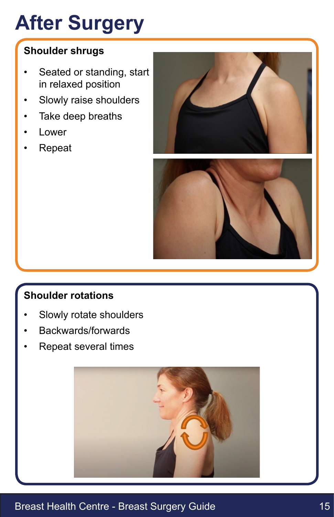#### **Shoulder shrugs**

- Seated or standing, start in relaxed position
- Slowly raise shoulders
- Take deep breaths
- **Lower**
- Repeat





#### **Shoulder rotations**

- Slowly rotate shoulders
- Backwards/forwards
- Repeat several times



#### Breast Health Centre - Breast Surgery Guide 15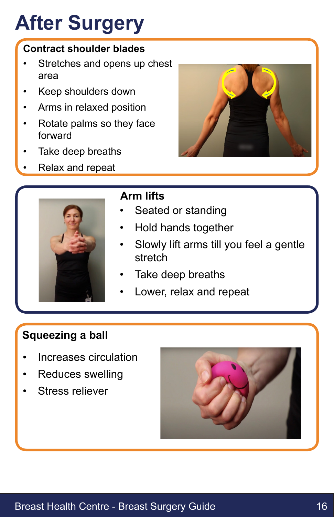#### **Contract shoulder blades**

- Stretches and opens up chest area
- Keep shoulders down
- Arms in relaxed position
- Rotate palms so they face forward
- Take deep breaths
- Relax and repeat





#### **Arm lifts**

- Seated or standing
- Hold hands together
- Slowly lift arms till you feel a gentle stretch
- Take deep breaths
- Lower, relax and repeat

#### **Squeezing a ball**

- Increases circulation
- Reduces swelling
- Stress reliever

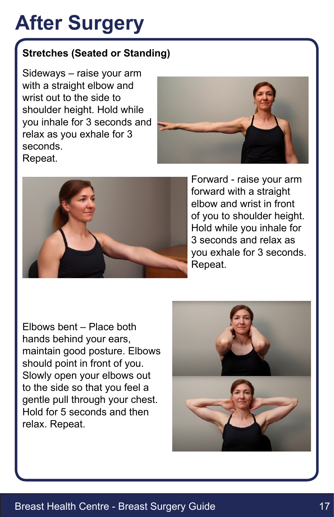#### **Stretches (Seated or Standing)**

Sideways – raise your arm with a straight elbow and wrist out to the side to shoulder height. Hold while you inhale for 3 seconds and relax as you exhale for 3 seconds. Repeat.





Forward - raise your arm forward with a straight elbow and wrist in front of you to shoulder height. Hold while you inhale for 3 seconds and relax as you exhale for 3 seconds. Repeat.

Elbows bent – Place both hands behind your ears, maintain good posture. Elbows should point in front of you. Slowly open your elbows out to the side so that you feel a gentle pull through your chest. Hold for 5 seconds and then relax. Repeat.

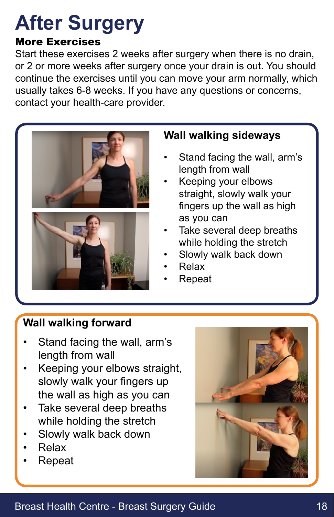#### More Exercises

Start these exercises 2 weeks after surgery when there is no drain, or 2 or more weeks after surgery once your drain is out. You should continue the exercises until you can move your arm normally, which usually takes 6-8 weeks. If you have any questions or concerns, contact your health-care provider.



#### **Wall walking sideways**

- Stand facing the wall, arm's length from wall
- Keeping your elbows straight, slowly walk your fingers up the wall as high as you can
- Take several deep breaths while holding the stretch
- Slowly walk back down
- Relax
- Repeat

#### **Wall walking forward**

- Stand facing the wall, arm's length from wall
- Keeping your elbows straight, slowly walk your fingers up the wall as high as you can
- Take several deep breaths while holding the stretch
- Slowly walk back down
- Relax
- Repeat

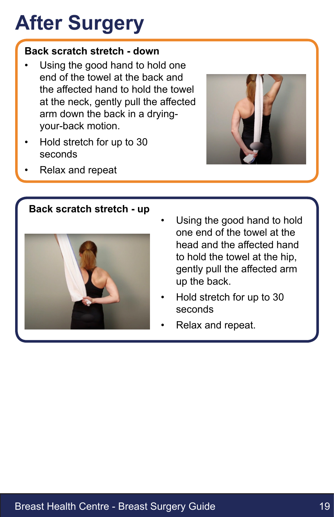#### **Back scratch stretch - down**

- Using the good hand to hold one end of the towel at the back and the affected hand to hold the towel at the neck, gently pull the affected arm down the back in a dryingyour-back motion.
- Hold stretch for up to 30 seconds
- Relax and repeat



#### **Back scratch stretch - up**



- Using the good hand to hold one end of the towel at the head and the affected hand to hold the towel at the hip, gently pull the affected arm up the back.
- Hold stretch for up to 30 seconds
- Relax and repeat.

#### Breast Health Centre - Breast Surgery Guide 19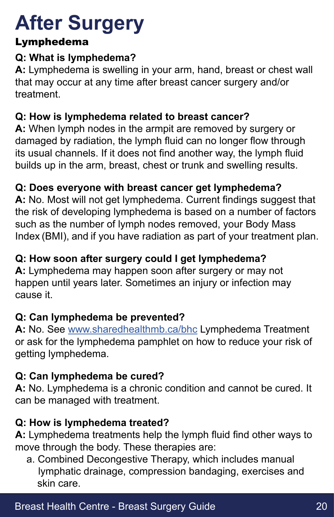#### Lymphedema

#### **Q: What is lymphedema?**

**A:** Lymphedema is swelling in your arm, hand, breast or chest wall that may occur at any time after breast cancer surgery and/or treatment.

#### **Q: How is lymphedema related to breast cancer?**

**A:** When lymph nodes in the armpit are removed by surgery or damaged by radiation, the lymph fluid can no longer flow through its usual channels. If it does not find another way, the lymph fluid builds up in the arm, breast, chest or trunk and swelling results.

#### **Q: Does everyone with breast cancer get lymphedema?**

**A:** No. Most will not get lymphedema. Current findings suggest that the risk of developing lymphedema is based on a number of factors such as the number of lymph nodes removed, your Body Mass Index (BMI), and if you have radiation as part of your treatment plan.

#### **Q: How soon after surgery could I get lymphedema?**

**A:** Lymphedema may happen soon after surgery or may not happen until years later. Sometimes an injury or infection may cause it.

#### **Q: Can lymphedema be prevented?**

**A:** No. See [www.sharedhealthmb.ca/bhc](https://sharedhealthmb.ca/bhc) Lymphedema Treatment or ask for the lymphedema pamphlet on how to reduce your risk of getting lymphedema.

#### **Q: Can lymphedema be cured?**

**A:** No. Lymphedema is a chronic condition and cannot be cured. It can be managed with treatment.

#### **Q: How is lymphedema treated?**

**A:** Lymphedema treatments help the lymph fluid find other ways to move through the body. These therapies are:

a. Combined Decongestive Therapy, which includes manual lymphatic drainage, compression bandaging, exercises and skin care.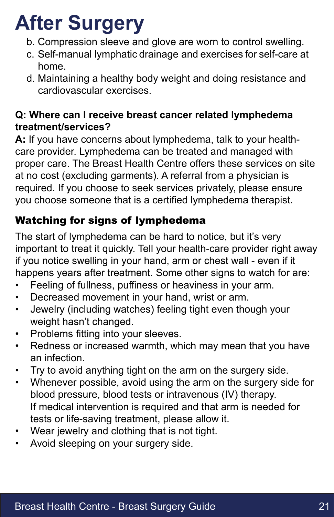- b. Compression sleeve and glove are worn to control swelling.
- c. Self-manual lymphatic drainage and exercises for self-care at home.
- d. Maintaining a healthy body weight and doing resistance and cardiovascular exercises.

#### **Q: Where can I receive breast cancer related lymphedema treatment/services?**

**A:** If you have concerns about lymphedema, talk to your healthcare provider. Lymphedema can be treated and managed with proper care. The Breast Health Centre offers these services on site at no cost (excluding garments). A referral from a physician is required. If you choose to seek services privately, please ensure you choose someone that is a certified lymphedema therapist.

#### Watching for signs of lymphedema

The start of lymphedema can be hard to notice, but it's very important to treat it quickly. Tell your health-care provider right away if you notice swelling in your hand, arm or chest wall - even if it happens years after treatment. Some other signs to watch for are:

- Feeling of fullness, puffiness or heaviness in your arm.
- Decreased movement in your hand, wrist or arm.
- Jewelry (including watches) feeling tight even though your weight hasn't changed.
- Problems fitting into your sleeves.
- Redness or increased warmth, which may mean that you have an infection.
- Try to avoid anything tight on the arm on the surgery side.
- Whenever possible, avoid using the arm on the surgery side for blood pressure, blood tests or intravenous (IV) therapy. If medical intervention is required and that arm is needed for tests or life-saving treatment, please allow it.
- Wear jewelry and clothing that is not tight.
- Avoid sleeping on your surgery side.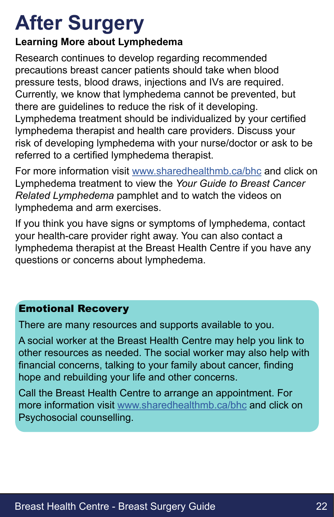#### **Learning More about Lymphedema**

Research continues to develop regarding recommended precautions breast cancer patients should take when blood pressure tests, blood draws, injections and IVs are required. Currently, we know that lymphedema cannot be prevented, but there are guidelines to reduce the risk of it developing. Lymphedema treatment should be individualized by your certified lymphedema therapist and health care providers. Discuss your risk of developing lymphedema with your nurse/doctor or ask to be referred to a certified lymphedema therapist.

For more information visit [www.sharedhealthmb.ca/bhc](https://sharedhealthmb.ca/bhc) and click on Lymphedema treatment to view the *Your Guide to Breast Cancer Related Lymphedema* pamphlet and to watch the videos on lymphedema and arm exercises.

If you think you have signs or symptoms of lymphedema, contact your health-care provider right away. You can also contact a lymphedema therapist at the Breast Health Centre if you have any questions or concerns about lymphedema.

#### Emotional Recovery

There are many resources and supports available to you.

A social worker at the Breast Health Centre may help you link to other resources as needed. The social worker may also help with financial concerns, talking to your family about cancer, finding hope and rebuilding your life and other concerns.

Call the Breast Health Centre to arrange an appointment. For more information visit [www.sharedhealthmb.ca/bhc](https://sharedhealthmb.ca/bhc) and click on Psychosocial counselling.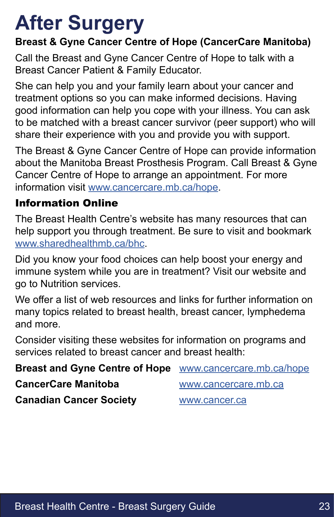# **After Surgery After Surgery**

#### **Breast & Gyne Cancer Centre of Hope (CancerCare Manitoba)**

Call the Breast and Gyne Cancer Centre of Hope to talk with a Breast Cancer Patient & Family Educator.

She can help you and your family learn about your cancer and treatment options so you can make informed decisions. Having good information can help you cope with your illness. You can ask to be matched with a breast cancer survivor (peer support) who will share their experience with you and provide you with support.

The Breast & Gyne Cancer Centre of Hope can provide information about the Manitoba Breast Prosthesis Program. Call Breast & Gyne Cancer Centre of Hope to arrange an appointment. For more information visit [www.cancercare.mb.ca/hope.](http://www.cancercare.mb.ca/hope)

#### Information Online

The Breast Health Centre's website has many resources that can help support you through treatment. Be sure to visit and bookmark [www.sharedhealthmb.ca/bhc](https://www.sharedhealthmb.ca/bhc).

Did you know your food choices can help boost your energy and immune system while you are in treatment? Visit our website and go to Nutrition services.

We offer a list of web resources and links for further information on many topics related to breast health, breast cancer, lymphedema and more.

Consider visiting these websites for information on programs and services related to breast cancer and breast health:

| <b>Breast and Gyne Centre of Hope WWW.cancercare.mb.ca/hope</b> |                      |
|-----------------------------------------------------------------|----------------------|
| <b>CancerCare Manitoba</b>                                      | www.cancercare.mb.ca |
| <b>Canadian Cancer Society</b>                                  | www.cancer.ca        |